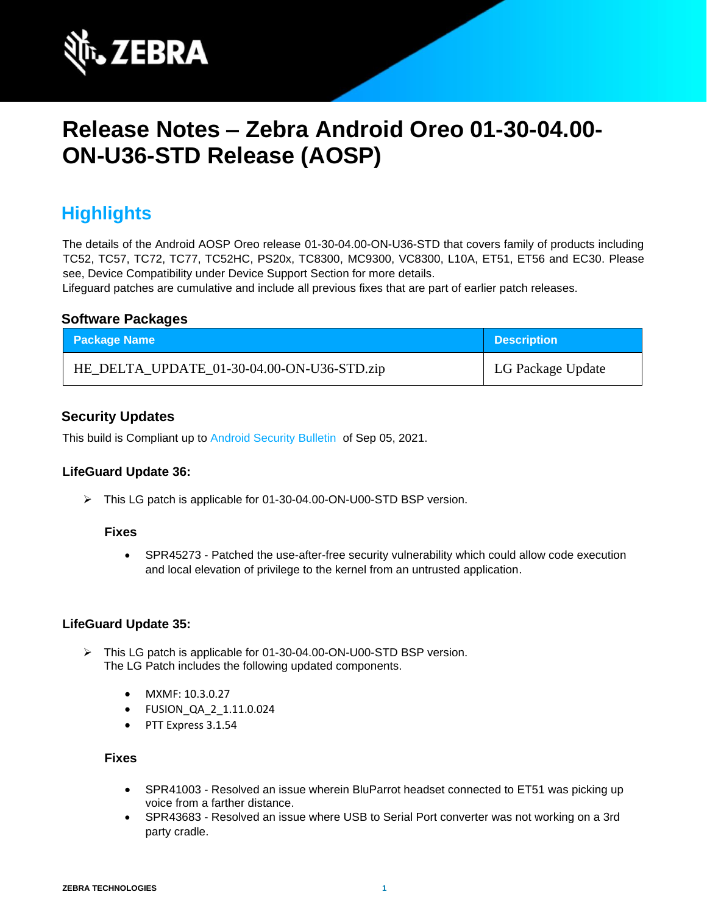

# **Release Notes – Zebra Android Oreo 01-30-04.00- ON-U36-STD Release (AOSP)**

# **Highlights**

The details of the Android AOSP Oreo release 01-30-04.00-ON-U36-STD that covers family of products including TC52, TC57, TC72, TC77, TC52HC, PS20x, TC8300, MC9300, VC8300, L10A, ET51, ET56 and EC30. Please see, Device Compatibility under Device Support Section for more details.

Lifeguard patches are cumulative and include all previous fixes that are part of earlier patch releases.

### **Software Packages**

| <b>Package Name</b>                        | <b>Description</b> |
|--------------------------------------------|--------------------|
| HE_DELTA_UPDATE_01-30-04.00-ON-U36-STD.zip | LG Package Update  |

## **Security Updates**

This build is Compliant up to [Android Security Bulletin](https://source.android.com/security/bulletin/) of Sep 05, 2021.

#### **LifeGuard Update 36:**

➢ This LG patch is applicable for 01-30-04.00-ON-U00-STD BSP version.

#### **Fixes**

• SPR45273 - Patched the use-after-free security vulnerability which could allow code execution and local elevation of privilege to the kernel from an untrusted application.

#### **LifeGuard Update 35:**

- ➢ This LG patch is applicable for 01-30-04.00-ON-U00-STD BSP version. The LG Patch includes the following updated components.
	- MXMF: 10.3.0.27
	- FUSION\_QA\_2\_1.11.0.024
	- PTT Express 3.1.54

- SPR41003 Resolved an issue wherein BluParrot headset connected to ET51 was picking up voice from a farther distance.
- SPR43683 Resolved an issue where USB to Serial Port converter was not working on a 3rd party cradle.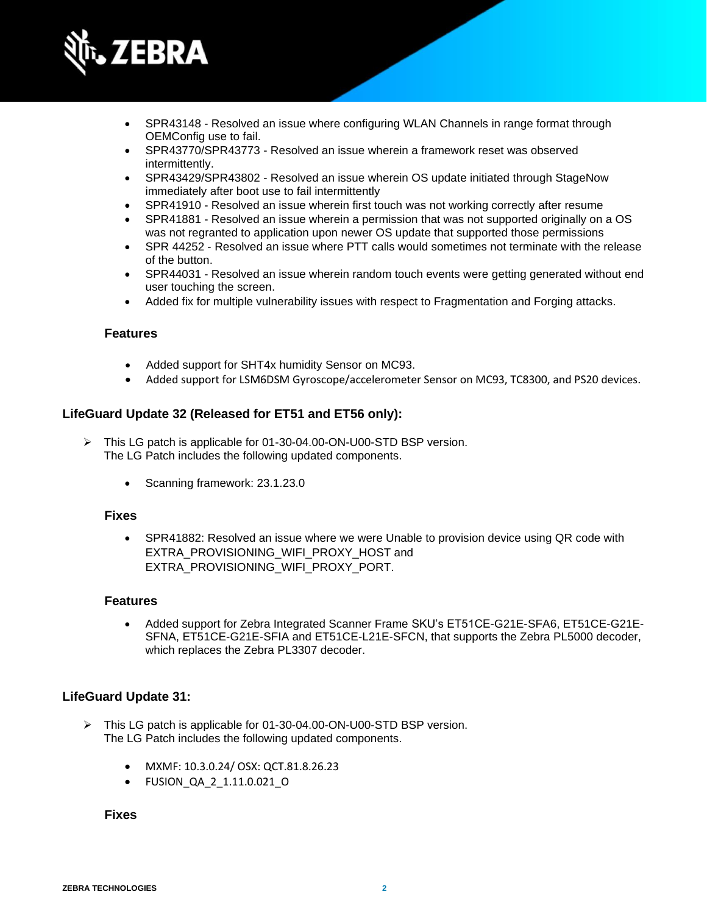

- SPR43148 Resolved an issue where configuring WLAN Channels in range format through OEMConfig use to fail.
- SPR43770/SPR43773 Resolved an issue wherein a framework reset was observed intermittently.
- SPR43429/SPR43802 Resolved an issue wherein OS update initiated through StageNow immediately after boot use to fail intermittently
- SPR41910 Resolved an issue wherein first touch was not working correctly after resume
- SPR41881 Resolved an issue wherein a permission that was not supported originally on a OS was not regranted to application upon newer OS update that supported those permissions
- SPR 44252 Resolved an issue where PTT calls would sometimes not terminate with the release of the button.
- SPR44031 Resolved an issue wherein random touch events were getting generated without end user touching the screen.
- Added fix for multiple vulnerability issues with respect to Fragmentation and Forging attacks.

#### **Features**

- Added support for SHT4x humidity Sensor on MC93.
- Added support for LSM6DSM Gyroscope/accelerometer Sensor on MC93, TC8300, and PS20 devices.

### **LifeGuard Update 32 (Released for ET51 and ET56 only):**

- ➢ This LG patch is applicable for 01-30-04.00-ON-U00-STD BSP version. The LG Patch includes the following updated components.
	- Scanning framework: 23.1.23.0

#### **Fixes**

• SPR41882: Resolved an issue where we were Unable to provision device using QR code with EXTRA\_PROVISIONING\_WIFI\_PROXY\_HOST and EXTRA\_PROVISIONING\_WIFI\_PROXY\_PORT.

#### **Features**

• Added support for Zebra Integrated Scanner Frame SKU's ET51CE-G21E-SFA6, ET51CE-G21E-SFNA, ET51CE-G21E-SFIA and ET51CE-L21E-SFCN, that supports the Zebra PL5000 decoder, which replaces the Zebra PL3307 decoder.

#### **LifeGuard Update 31:**

- ➢ This LG patch is applicable for 01-30-04.00-ON-U00-STD BSP version. The LG Patch includes the following updated components.
	- MXMF: 10.3.0.24/ OSX: QCT.81.8.26.23
	- FUSION\_QA\_2\_1.11.0.021\_O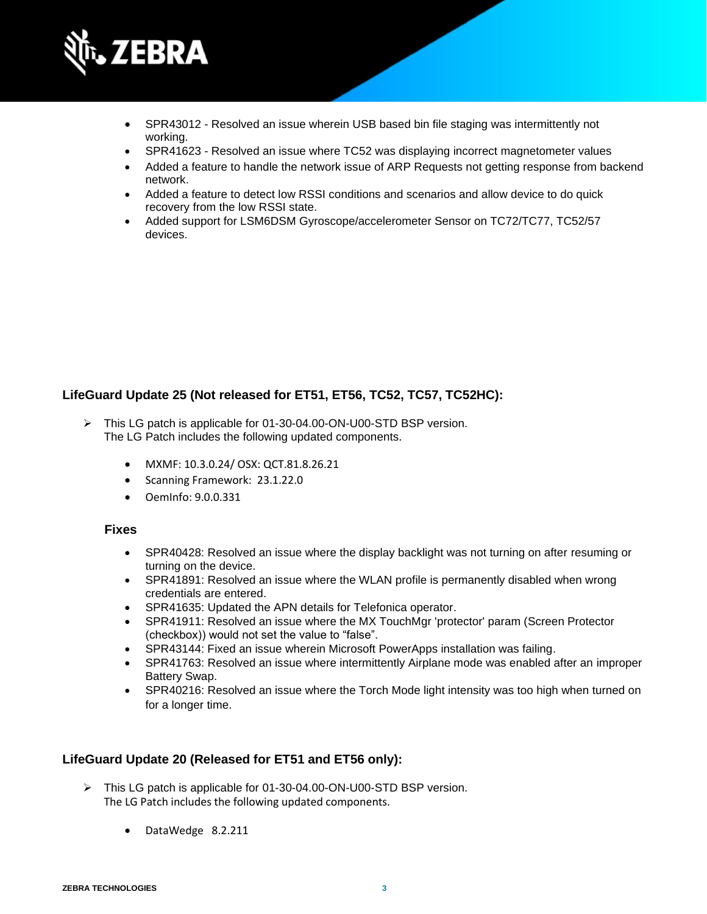

- SPR43012 Resolved an issue wherein USB based bin file staging was intermittently not working.
- SPR41623 Resolved an issue where TC52 was displaying incorrect magnetometer values
- Added a feature to handle the network issue of ARP Requests not getting response from backend network.
- Added a feature to detect low RSSI conditions and scenarios and allow device to do quick recovery from the low RSSI state.
- Added support for LSM6DSM Gyroscope/accelerometer Sensor on TC72/TC77, TC52/57 devices.

## **LifeGuard Update 25 (Not released for ET51, ET56, TC52, TC57, TC52HC):**

- ➢ This LG patch is applicable for 01-30-04.00-ON-U00-STD BSP version. The LG Patch includes the following updated components.
	- MXMF: 10.3.0.24/ OSX: QCT.81.8.26.21
	- Scanning Framework: 23.1.22.0
	- OemInfo: 9.0.0.331

#### **Fixes**

- SPR40428: Resolved an issue where the display backlight was not turning on after resuming or turning on the device.
- SPR41891: Resolved an issue where the WLAN profile is permanently disabled when wrong credentials are entered.
- SPR41635: Updated the APN details for Telefonica operator.
- SPR41911: Resolved an issue where the MX TouchMgr 'protector' param (Screen Protector (checkbox)) would not set the value to "false".
- SPR43144: Fixed an issue wherein Microsoft PowerApps installation was failing.
- SPR41763: Resolved an issue where intermittently Airplane mode was enabled after an improper Battery Swap.
- SPR40216: Resolved an issue where the Torch Mode light intensity was too high when turned on for a longer time.

### **LifeGuard Update 20 (Released for ET51 and ET56 only):**

- ➢ This LG patch is applicable for 01-30-04.00-ON-U00-STD BSP version. The LG Patch includes the following updated components.
	- DataWedge 8.2.211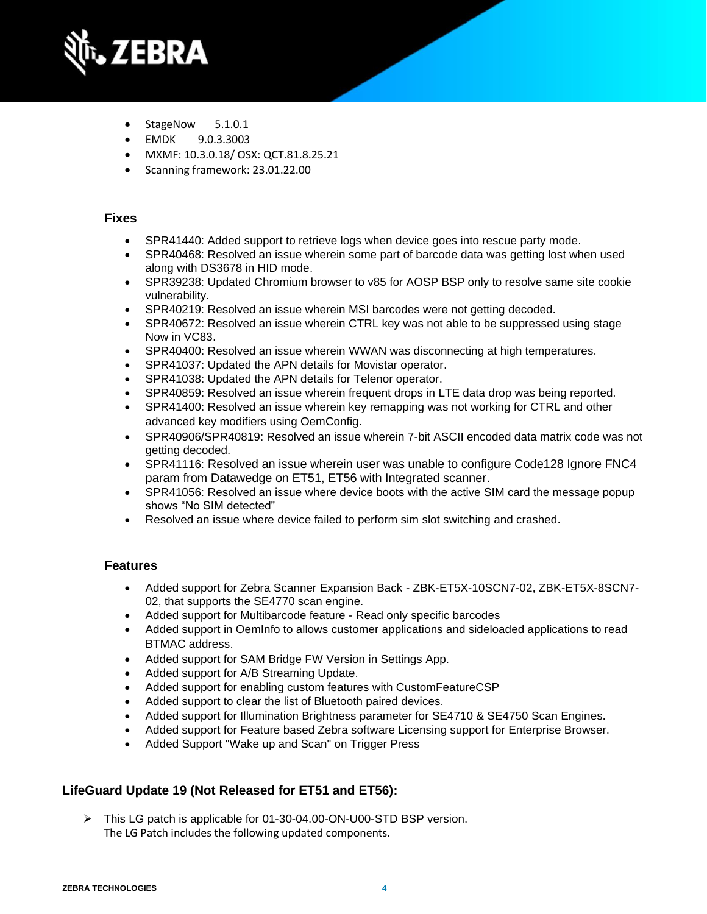

- StageNow 5.1.0.1
- EMDK 9.0.3.3003
- MXMF: 10.3.0.18/ OSX: QCT.81.8.25.21
- Scanning framework: 23.01.22.00

- SPR41440: Added support to retrieve logs when device goes into rescue party mode.
- SPR40468: Resolved an issue wherein some part of barcode data was getting lost when used along with DS3678 in HID mode.
- SPR39238: Updated Chromium browser to v85 for AOSP BSP only to resolve same site cookie vulnerability.
- SPR40219: Resolved an issue wherein MSI barcodes were not getting decoded.
- SPR40672: Resolved an issue wherein CTRL key was not able to be suppressed using stage Now in VC83.
- SPR40400: Resolved an issue wherein WWAN was disconnecting at high temperatures.
- SPR41037: Updated the APN details for Movistar operator.
- SPR41038: Updated the APN details for Telenor operator.
- SPR40859: Resolved an issue wherein frequent drops in LTE data drop was being reported.
- SPR41400: Resolved an issue wherein key remapping was not working for CTRL and other advanced key modifiers using OemConfig.
- SPR40906/SPR40819: Resolved an issue wherein 7-bit ASCII encoded data matrix code was not getting decoded.
- SPR41116: Resolved an issue wherein user was unable to configure Code128 Ignore FNC4 param from Datawedge on ET51, ET56 with Integrated scanner.
- SPR41056: Resolved an issue where device boots with the active SIM card the message popup shows "No SIM detected"
- Resolved an issue where device failed to perform sim slot switching and crashed.

## **Features**

- Added support for Zebra Scanner Expansion Back ZBK-ET5X-10SCN7-02, ZBK-ET5X-8SCN7- 02, that supports the SE4770 scan engine.
- Added support for Multibarcode feature Read only specific barcodes
- Added support in OemInfo to allows customer applications and sideloaded applications to read BTMAC address.
- Added support for SAM Bridge FW Version in Settings App.
- Added support for A/B Streaming Update.
- Added support for enabling custom features with CustomFeatureCSP
- Added support to clear the list of Bluetooth paired devices.
- Added support for Illumination Brightness parameter for SE4710 & SE4750 Scan Engines.
- Added support for Feature based Zebra software Licensing support for Enterprise Browser.
- Added Support "Wake up and Scan" on Trigger Press

# **LifeGuard Update 19 (Not Released for ET51 and ET56):**

➢ This LG patch is applicable for 01-30-04.00-ON-U00-STD BSP version. The LG Patch includes the following updated components.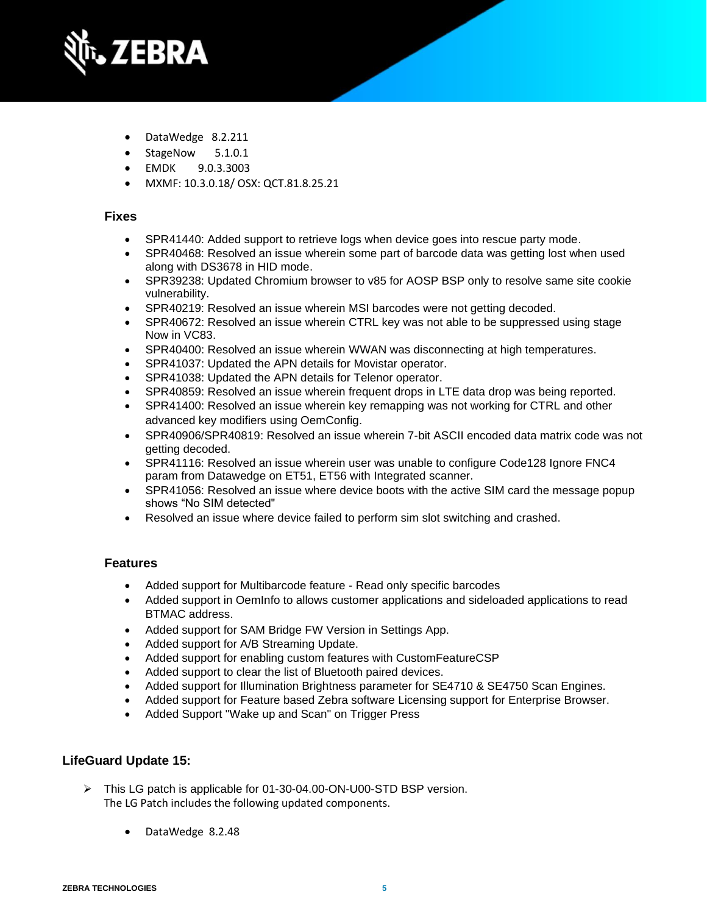

- DataWedge 8.2.211
- StageNow 5.1.0.1
- EMDK 9.0.3.3003
- MXMF: 10.3.0.18/ OSX: QCT.81.8.25.21

- SPR41440: Added support to retrieve logs when device goes into rescue party mode.
- SPR40468: Resolved an issue wherein some part of barcode data was getting lost when used along with DS3678 in HID mode.
- SPR39238: Updated Chromium browser to v85 for AOSP BSP only to resolve same site cookie vulnerability.
- SPR40219: Resolved an issue wherein MSI barcodes were not getting decoded.
- SPR40672: Resolved an issue wherein CTRL key was not able to be suppressed using stage Now in VC83.
- SPR40400: Resolved an issue wherein WWAN was disconnecting at high temperatures.
- SPR41037: Updated the APN details for Movistar operator.
- SPR41038: Updated the APN details for Telenor operator.
- SPR40859: Resolved an issue wherein frequent drops in LTE data drop was being reported.
- SPR41400: Resolved an issue wherein key remapping was not working for CTRL and other advanced key modifiers using OemConfig.
- SPR40906/SPR40819: Resolved an issue wherein 7-bit ASCII encoded data matrix code was not getting decoded.
- SPR41116: Resolved an issue wherein user was unable to configure Code128 Ignore FNC4 param from Datawedge on ET51, ET56 with Integrated scanner.
- SPR41056: Resolved an issue where device boots with the active SIM card the message popup shows "No SIM detected"
- Resolved an issue where device failed to perform sim slot switching and crashed.

## **Features**

- Added support for Multibarcode feature Read only specific barcodes
- Added support in OemInfo to allows customer applications and sideloaded applications to read BTMAC address.
- Added support for SAM Bridge FW Version in Settings App.
- Added support for A/B Streaming Update.
- Added support for enabling custom features with CustomFeatureCSP
- Added support to clear the list of Bluetooth paired devices.
- Added support for Illumination Brightness parameter for SE4710 & SE4750 Scan Engines.
- Added support for Feature based Zebra software Licensing support for Enterprise Browser.
- Added Support "Wake up and Scan" on Trigger Press

## **LifeGuard Update 15:**

- ➢ This LG patch is applicable for 01-30-04.00-ON-U00-STD BSP version. The LG Patch includes the following updated components.
	- DataWedge 8.2.48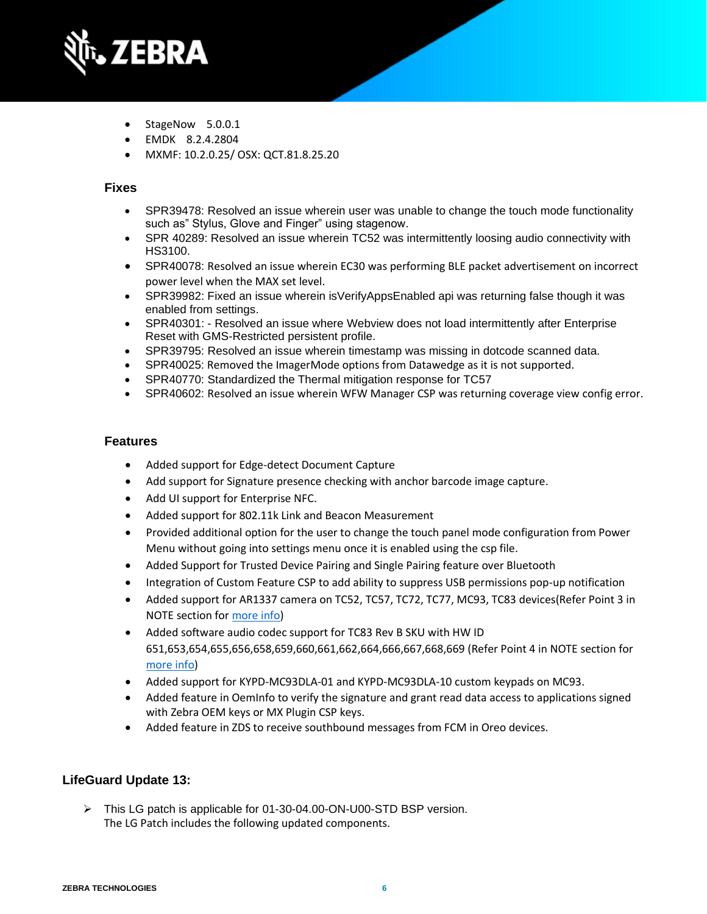

- StageNow 5.0.0.1
- EMDK 8.2.4.2804
- MXMF: 10.2.0.25/ OSX: QCT.81.8.25.20

- SPR39478: Resolved an issue wherein user was unable to change the touch mode functionality such as" Stylus, Glove and Finger" using stagenow.
- SPR 40289: Resolved an issue wherein TC52 was intermittently loosing audio connectivity with HS3100.
- SPR40078: Resolved an issue wherein EC30 was performing BLE packet advertisement on incorrect power level when the MAX set level.
- SPR39982: Fixed an issue wherein isVerifyAppsEnabled api was returning false though it was enabled from settings.
- SPR40301: Resolved an issue where Webview does not load intermittently after Enterprise Reset with GMS-Restricted persistent profile.
- SPR39795: Resolved an issue wherein timestamp was missing in dotcode scanned data.
- SPR40025: Removed the ImagerMode options from Datawedge as it is not supported.
- SPR40770: Standardized the Thermal mitigation response for TC57
- SPR40602: Resolved an issue wherein WFW Manager CSP was returning coverage view config error.

#### **Features**

- Added support for Edge-detect Document Capture
- Add support for Signature presence checking with anchor barcode image capture.
- Add UI support for Enterprise NFC.
- Added support for 802.11k Link and Beacon Measurement
- Provided additional option for the user to change the touch panel mode configuration from Power Menu without going into settings menu once it is enabled using the csp file.
- Added Support for Trusted Device Pairing and Single Pairing feature over Bluetooth
- Integration of Custom Feature CSP to add ability to suppress USB permissions pop-up notification
- Added support for AR1337 camera on TC52, TC57, TC72, TC77, MC93, TC83 devices(Refer Point 3 in NOTE section for more info)
- Added software audio codec support for TC83 Rev B SKU with HW ID 651,653,654,655,656,658,659,660,661,662,664,666,667,668,669 (Refer Point 4 in NOTE section for more info)
- Added support for KYPD-MC93DLA-01 and KYPD-MC93DLA-10 custom keypads on MC93.
- Added feature in OemInfo to verify the signature and grant read data access to applications signed with Zebra OEM keys or MX Plugin CSP keys.
- Added feature in ZDS to receive southbound messages from FCM in Oreo devices.

#### **LifeGuard Update 13:**

➢ This LG patch is applicable for 01-30-04.00-ON-U00-STD BSP version. The LG Patch includes the following updated components.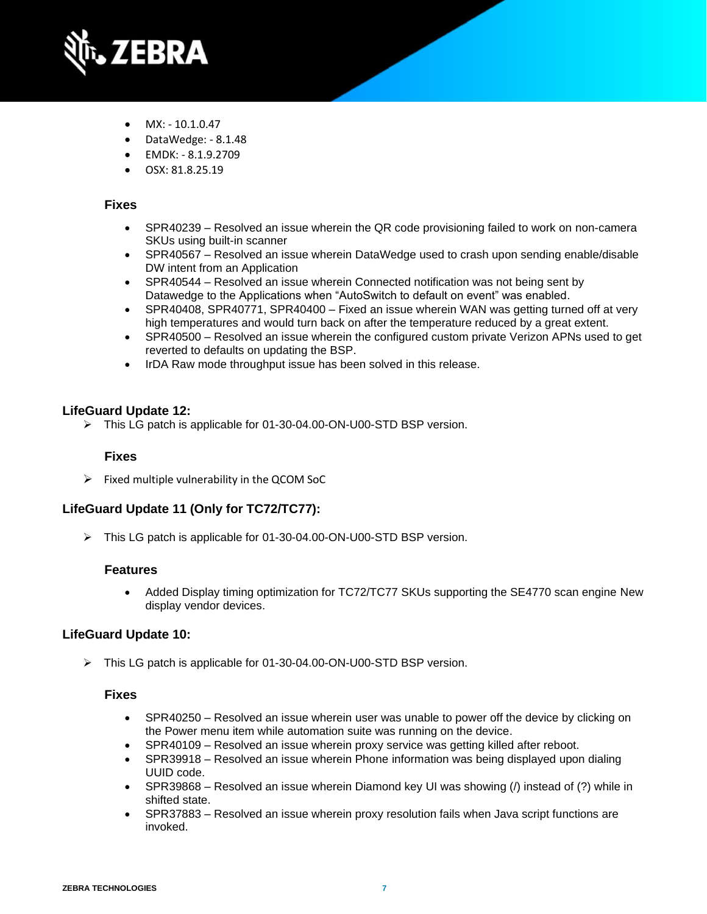

- MX: 10.1.0.47
- DataWedge: 8.1.48
- EMDK: 8.1.9.2709
- OSX: 81.8.25.19

- SPR40239 Resolved an issue wherein the QR code provisioning failed to work on non-camera SKUs using built-in scanner
- SPR40567 Resolved an issue wherein DataWedge used to crash upon sending enable/disable DW intent from an Application
- SPR40544 Resolved an issue wherein Connected notification was not being sent by Datawedge to the Applications when "AutoSwitch to default on event" was enabled.
- SPR40408, SPR40771, SPR40400 Fixed an issue wherein WAN was getting turned off at very high temperatures and would turn back on after the temperature reduced by a great extent.
- SPR40500 Resolved an issue wherein the configured custom private Verizon APNs used to get reverted to defaults on updating the BSP.
- IrDA Raw mode throughput issue has been solved in this release.

#### **LifeGuard Update 12:**

➢ This LG patch is applicable for 01-30-04.00-ON-U00-STD BSP version.

#### **Fixes**

 $\triangleright$  Fixed multiple vulnerability in the QCOM SoC

### **LifeGuard Update 11 (Only for TC72/TC77):**

➢ This LG patch is applicable for 01-30-04.00-ON-U00-STD BSP version.

#### **Features**

• Added Display timing optimization for TC72/TC77 SKUs supporting the SE4770 scan engine New display vendor devices.

#### **LifeGuard Update 10:**

➢ This LG patch is applicable for 01-30-04.00-ON-U00-STD BSP version.

- SPR40250 Resolved an issue wherein user was unable to power off the device by clicking on the Power menu item while automation suite was running on the device.
- SPR40109 Resolved an issue wherein proxy service was getting killed after reboot.
- SPR39918 Resolved an issue wherein Phone information was being displayed upon dialing UUID code.
- SPR39868 Resolved an issue wherein Diamond key UI was showing (/) instead of (?) while in shifted state.
- SPR37883 Resolved an issue wherein proxy resolution fails when Java script functions are invoked.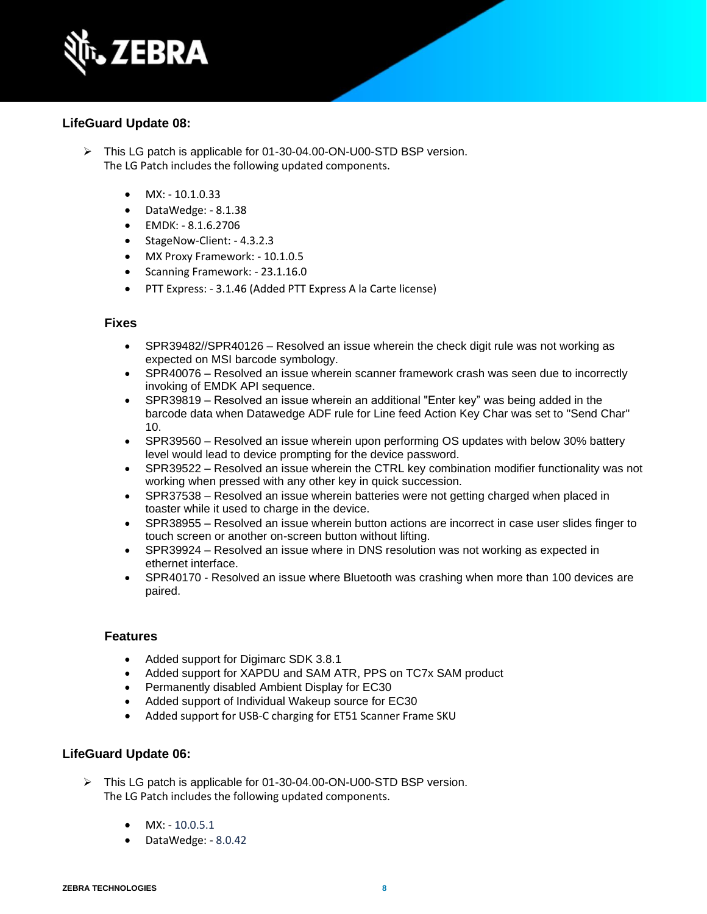

### **LifeGuard Update 08:**

- ➢ This LG patch is applicable for 01-30-04.00-ON-U00-STD BSP version. The LG Patch includes the following updated components.
	- $MX: -10.1.0.33$
	- DataWedge: 8.1.38
	- EMDK: 8.1.6.2706
	- StageNow-Client: 4.3.2.3
	- MX Proxy Framework: 10.1.0.5
	- Scanning Framework: 23.1.16.0
	- PTT Express: 3.1.46 (Added PTT Express A la Carte license)

#### **Fixes**

- SPR39482//SPR40126 Resolved an issue wherein the check digit rule was not working as expected on MSI barcode symbology.
- SPR40076 Resolved an issue wherein scanner framework crash was seen due to incorrectly invoking of EMDK API sequence.
- SPR39819 Resolved an issue wherein an additional "Enter key" was being added in the barcode data when Datawedge ADF rule for Line feed Action Key Char was set to "Send Char" 10.
- SPR39560 Resolved an issue wherein upon performing OS updates with below 30% battery level would lead to device prompting for the device password.
- SPR39522 Resolved an issue wherein the CTRL key combination modifier functionality was not working when pressed with any other key in quick succession.
- SPR37538 Resolved an issue wherein batteries were not getting charged when placed in toaster while it used to charge in the device.
- SPR38955 Resolved an issue wherein button actions are incorrect in case user slides finger to touch screen or another on-screen button without lifting.
- SPR39924 Resolved an issue where in DNS resolution was not working as expected in ethernet interface.
- SPR40170 Resolved an issue where Bluetooth was crashing when more than 100 devices are paired.

#### **Features**

- Added support for Digimarc SDK 3.8.1
- Added support for XAPDU and SAM ATR, PPS on TC7x SAM product
- Permanently disabled Ambient Display for EC30
- Added support of Individual Wakeup source for EC30
- Added support for USB-C charging for ET51 Scanner Frame SKU

#### **LifeGuard Update 06:**

- ➢ This LG patch is applicable for 01-30-04.00-ON-U00-STD BSP version. The LG Patch includes the following updated components.
	- MX: 10.0.5.1
	- DataWedge: 8.0.42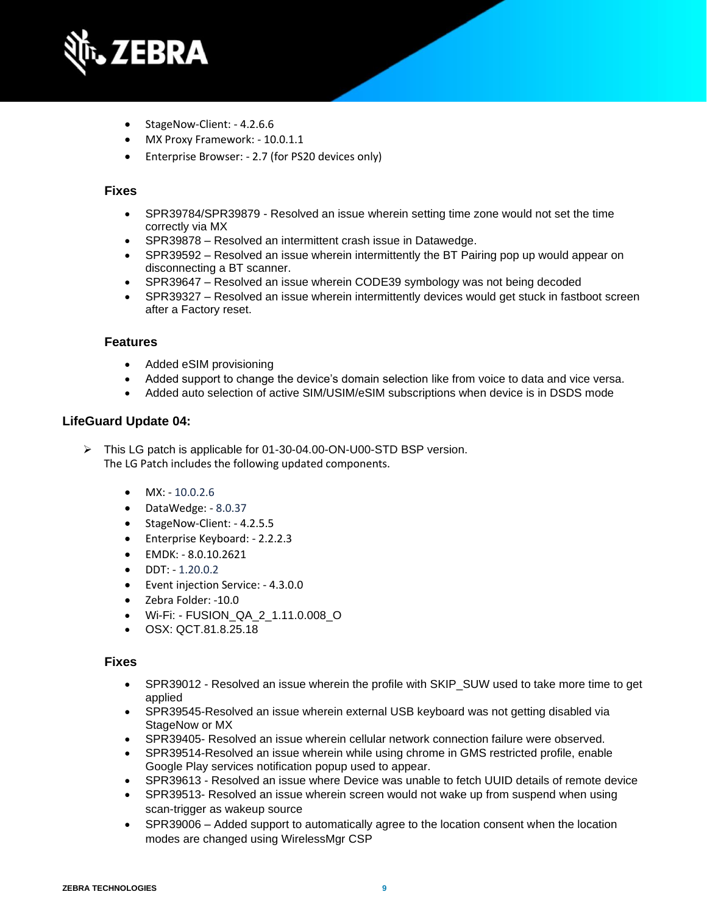

- StageNow-Client: 4.2.6.6
- MX Proxy Framework: 10.0.1.1
- Enterprise Browser: 2.7 (for PS20 devices only)

- SPR39784/SPR39879 Resolved an issue wherein setting time zone would not set the time correctly via MX
- SPR39878 Resolved an intermittent crash issue in Datawedge.
- SPR39592 Resolved an issue wherein intermittently the BT Pairing pop up would appear on disconnecting a BT scanner.
- SPR39647 Resolved an issue wherein CODE39 symbology was not being decoded
- SPR39327 Resolved an issue wherein intermittently devices would get stuck in fastboot screen after a Factory reset.

#### **Features**

- Added eSIM provisioning
- Added support to change the device's domain selection like from voice to data and vice versa.
- Added auto selection of active SIM/USIM/eSIM subscriptions when device is in DSDS mode

#### **LifeGuard Update 04:**

➢ This LG patch is applicable for 01-30-04.00-ON-U00-STD BSP version. The LG Patch includes the following updated components.

- MX: 10.0.2.6
- DataWedge: 8.0.37
- StageNow-Client: 4.2.5.5
- Enterprise Keyboard: 2.2.2.3
- EMDK: 8.0.10.2621
- DDT: 1.20.0.2
- Event injection Service: 4.3.0.0
- Zebra Folder: -10.0
- Wi-Fi: FUSION\_QA\_2\_1.11.0.008\_O
- OSX: QCT.81.8.25.18

- SPR39012 Resolved an issue wherein the profile with SKIP\_SUW used to take more time to get applied
- SPR39545-Resolved an issue wherein external USB keyboard was not getting disabled via StageNow or MX
- SPR39405- Resolved an issue wherein cellular network connection failure were observed.
- SPR39514-Resolved an issue wherein while using chrome in GMS restricted profile, enable Google Play services notification popup used to appear.
- SPR39613 Resolved an issue where Device was unable to fetch UUID details of remote device
- SPR39513- Resolved an issue wherein screen would not wake up from suspend when using scan-trigger as wakeup source
- SPR39006 Added support to automatically agree to the location consent when the location modes are changed using WirelessMgr CSP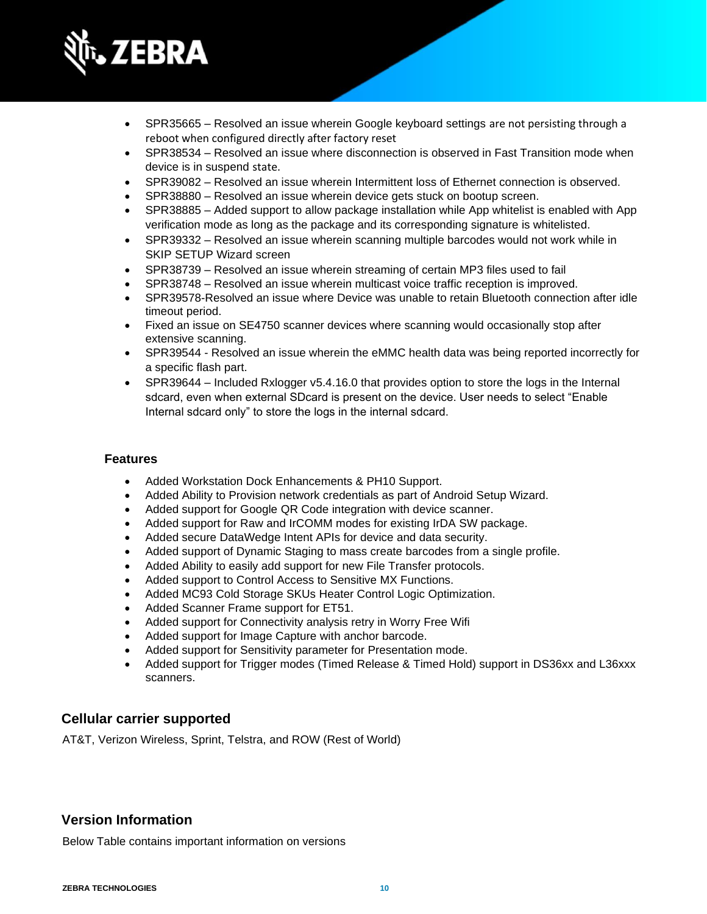

- SPR35665 Resolved an issue wherein Google keyboard settings are not persisting through a reboot when configured directly after factory reset
- SPR38534 Resolved an issue where disconnection is observed in Fast Transition mode when device is in suspend state.
- SPR39082 Resolved an issue wherein Intermittent loss of Ethernet connection is observed.
- SPR38880 Resolved an issue wherein device gets stuck on bootup screen.
- SPR38885 Added support to allow package installation while App whitelist is enabled with App verification mode as long as the package and its corresponding signature is whitelisted.
- SPR39332 Resolved an issue wherein scanning multiple barcodes would not work while in SKIP SETUP Wizard screen
- SPR38739 Resolved an issue wherein streaming of certain MP3 files used to fail
- SPR38748 Resolved an issue wherein multicast voice traffic reception is improved.
- SPR39578-Resolved an issue where Device was unable to retain Bluetooth connection after idle timeout period.
- Fixed an issue on SE4750 scanner devices where scanning would occasionally stop after extensive scanning.
- SPR39544 Resolved an issue wherein the eMMC health data was being reported incorrectly for a specific flash part.
- SPR39644 Included Rxlogger v5.4.16.0 that provides option to store the logs in the Internal sdcard, even when external SDcard is present on the device. User needs to select "Enable Internal sdcard only" to store the logs in the internal sdcard.

#### **Features**

- Added Workstation Dock Enhancements & PH10 Support.
- Added Ability to Provision network credentials as part of Android Setup Wizard.
- Added support for Google QR Code integration with device scanner.
- Added support for Raw and IrCOMM modes for existing IrDA SW package.
- Added secure DataWedge Intent APIs for device and data security.
- Added support of Dynamic Staging to mass create barcodes from a single profile.
- Added Ability to easily add support for new File Transfer protocols.
- Added support to Control Access to Sensitive MX Functions.
- Added MC93 Cold Storage SKUs Heater Control Logic Optimization.
- Added Scanner Frame support for ET51.
- Added support for Connectivity analysis retry in Worry Free Wifi
- Added support for Image Capture with anchor barcode.
- Added support for Sensitivity parameter for Presentation mode.
- Added support for Trigger modes (Timed Release & Timed Hold) support in DS36xx and L36xxx scanners.

## **Cellular carrier supported**

AT&T, Verizon Wireless, Sprint, Telstra, and ROW (Rest of World)

# **Version Information**

Below Table contains important information on versions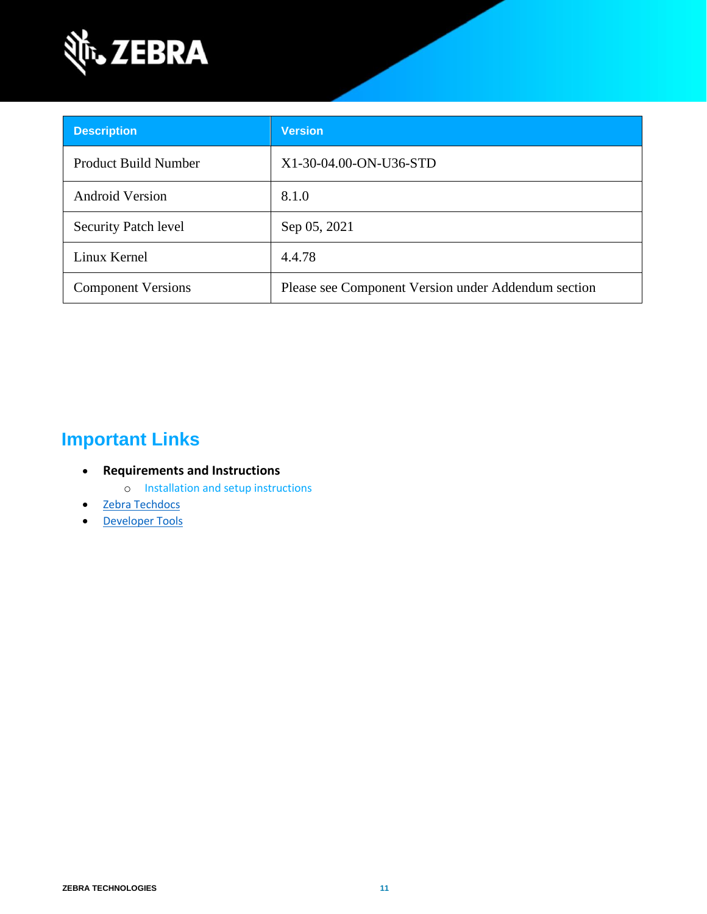

| <b>Description</b>          | <b>Version</b>                                      |
|-----------------------------|-----------------------------------------------------|
| <b>Product Build Number</b> | X1-30-04.00-ON-U36-STD                              |
| <b>Android Version</b>      | 8.1.0                                               |
| Security Patch level        | Sep 05, 2021                                        |
| Linux Kernel                | 4.4.78                                              |
| <b>Component Versions</b>   | Please see Component Version under Addendum section |

# **Important Links**

- **Requirements and Instructions** 
	- o [Installation and setup instructions](https://www.zebra.com/content/dam/zebra_new_ia/en-us/software/operating-system/helios/oreo-os-update-instructions.pdf)
- [Zebra Techdocs](https://techdocs.zebra.com/)
- [Developer Tools](https://developer.zebra.com/)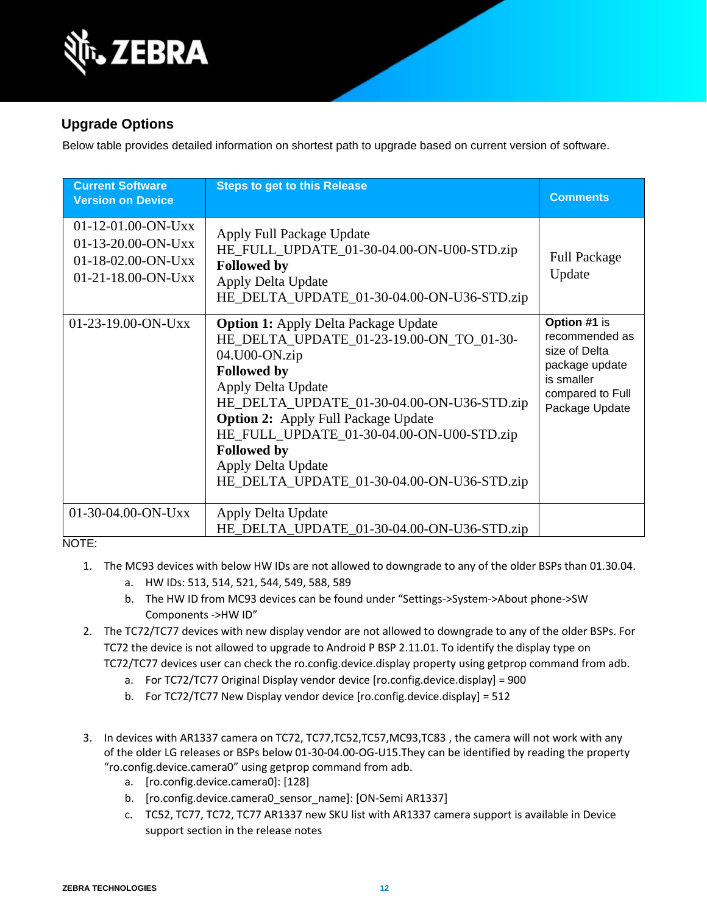

# **Upgrade Options**

Below table provides detailed information on shortest path to upgrade based on current version of software.

| <b>Current Software</b><br><b>Version on Device</b>                                        | <b>Steps to get to this Release</b>                                                                                                                                                                                                                                                                                                                                                     | <b>Comments</b>                                                                                                       |
|--------------------------------------------------------------------------------------------|-----------------------------------------------------------------------------------------------------------------------------------------------------------------------------------------------------------------------------------------------------------------------------------------------------------------------------------------------------------------------------------------|-----------------------------------------------------------------------------------------------------------------------|
| $01-12-01.00-ON-Uxx$<br>$01-13-20.00-ON-Uxx$<br>$01-18-02.00-ON-UXX$<br>01-21-18.00-ON-Uxx | Apply Full Package Update<br>HE_FULL_UPDATE_01-30-04.00-ON-U00-STD.zip<br><b>Followed by</b><br>Apply Delta Update<br>HE_DELTA_UPDATE_01-30-04.00-ON-U36-STD.zip                                                                                                                                                                                                                        | <b>Full Package</b><br>Update                                                                                         |
| 01-23-19.00-ON-Uxx                                                                         | <b>Option 1:</b> Apply Delta Package Update<br>HE_DELTA_UPDATE_01-23-19.00-ON_TO_01-30-<br>04.U00-ON.zip<br><b>Followed by</b><br>Apply Delta Update<br>HE_DELTA_UPDATE_01-30-04.00-ON-U36-STD.zip<br><b>Option 2:</b> Apply Full Package Update<br>HE_FULL_UPDATE_01-30-04.00-ON-U00-STD.zip<br><b>Followed by</b><br>Apply Delta Update<br>HE_DELTA_UPDATE_01-30-04.00-ON-U36-STD.zip | Option #1 is<br>recommended as<br>size of Delta<br>package update<br>is smaller<br>compared to Full<br>Package Update |
| 01-30-04.00-ON-Uxx                                                                         | Apply Delta Update<br>HE_DELTA_UPDATE_01-30-04.00-ON-U36-STD.zip                                                                                                                                                                                                                                                                                                                        |                                                                                                                       |

NOTE:

- 1. The MC93 devices with below HW IDs are not allowed to downgrade to any of the older BSPs than 01.30.04.
	- a. HW IDs: 513, 514, 521, 544, 549, 588, 589
	- b. The HW ID from MC93 devices can be found under "Settings->System->About phone->SW Components ->HW ID"
- 2. The TC72/TC77 devices with new display vendor are not allowed to downgrade to any of the older BSPs. For TC72 the device is not allowed to upgrade to Android P BSP 2.11.01. To identify the display type on TC72/TC77 devices user can check the ro.config.device.display property using getprop command from adb.
	- a. For TC72/TC77 Original Display vendor device [ro.config.device.display] = 900
	- b. For TC72/TC77 New Display vendor device [ro.config.device.display] = 512
- 3. In devices with AR1337 camera on TC72, TC77,TC52,TC57,MC93,TC83 , the camera will not work with any of the older LG releases or BSPs below 01-30-04.00-OG-U15.They can be identified by reading the property "ro.config.device.camera0" using getprop command from adb.
	- a. [ro.config.device.camera0]: [128]
	- b. [ro.config.device.camera0\_sensor\_name]: [ON-Semi AR1337]
	- c. TC52, TC77, TC72, TC77 AR1337 new SKU list with AR1337 camera support is available in Device support section in the release notes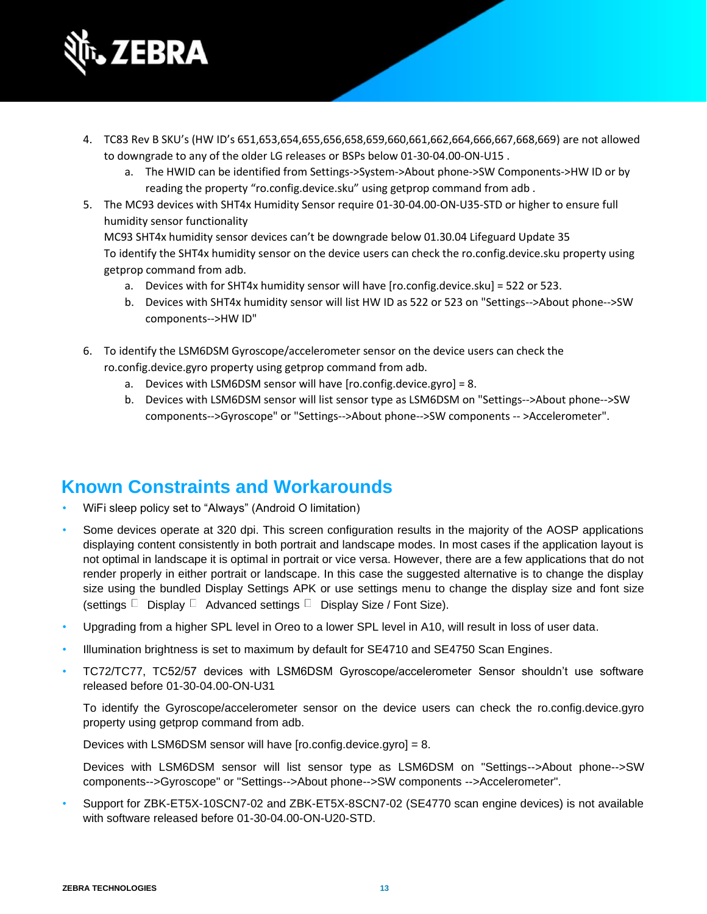

- 4. TC83 Rev B SKU's (HW ID's 651,653,654,655,656,658,659,660,661,662,664,666,667,668,669) are not allowed to downgrade to any of the older LG releases or BSPs below 01-30-04.00-ON-U15 .
	- a. The HWID can be identified from Settings->System->About phone->SW Components->HW ID or by reading the property "ro.config.device.sku" using getprop command from adb .
- 5. The MC93 devices with SHT4x Humidity Sensor require 01-30-04.00-ON-U35-STD or higher to ensure full humidity sensor functionality

MC93 SHT4x humidity sensor devices can't be downgrade below 01.30.04 Lifeguard Update 35 To identify the SHT4x humidity sensor on the device users can check the ro.config.device.sku property using getprop command from adb.

- a. Devices with for SHT4x humidity sensor will have [ro.config.device.sku] = 522 or 523.
- b. Devices with SHT4x humidity sensor will list HW ID as 522 or 523 on "Settings-->About phone-->SW components-->HW ID"
- 6. To identify the LSM6DSM Gyroscope/accelerometer sensor on the device users can check the ro.config.device.gyro property using getprop command from adb.
	- a. Devices with LSM6DSM sensor will have [ro.config.device.gyro] = 8.
	- b. Devices with LSM6DSM sensor will list sensor type as LSM6DSM on "Settings-->About phone-->SW components-->Gyroscope" or "Settings-->About phone-->SW components -- >Accelerometer".

# **Known Constraints and Workarounds**

- WiFi sleep policy set to "Always" (Android O limitation)
- Some devices operate at 320 dpi. This screen configuration results in the majority of the AOSP applications displaying content consistently in both portrait and landscape modes. In most cases if the application layout is not optimal in landscape it is optimal in portrait or vice versa. However, there are a few applications that do not render properly in either portrait or landscape. In this case the suggested alternative is to change the display size using the bundled Display Settings APK or use settings menu to change the display size and font size (settings  $\Box$  Display  $\Box$  Advanced settings  $\Box$  Display Size / Font Size).
- Upgrading from a higher SPL level in Oreo to a lower SPL level in A10, will result in loss of user data.
- Illumination brightness is set to maximum by default for SE4710 and SE4750 Scan Engines.
- TC72/TC77, TC52/57 devices with LSM6DSM Gyroscope/accelerometer Sensor shouldn't use software released before 01-30-04.00-ON-U31

To identify the Gyroscope/accelerometer sensor on the device users can check the ro.config.device.gyro property using getprop command from adb.

Devices with LSM6DSM sensor will have [ro.config.device.gyro] = 8.

Devices with LSM6DSM sensor will list sensor type as LSM6DSM on "Settings-->About phone-->SW components-->Gyroscope" or "Settings-->About phone-->SW components -->Accelerometer".

• Support for ZBK-ET5X-10SCN7-02 and ZBK-ET5X-8SCN7-02 (SE4770 scan engine devices) is not available with software released before 01-30-04.00-ON-U20-STD.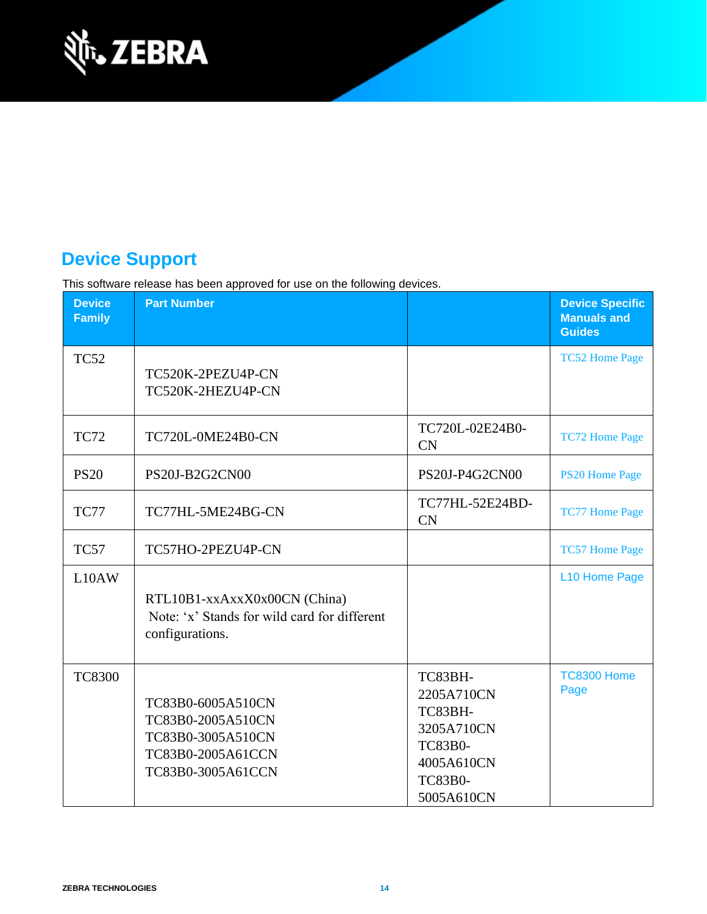

# **Device Support**

This software release has been approved for use on the following devices.

| <b>Device</b><br><b>Family</b> | <b>Part Number</b>                                                                                    |                                                                                                                | <b>Device Specific</b><br><b>Manuals and</b><br><b>Guides</b> |
|--------------------------------|-------------------------------------------------------------------------------------------------------|----------------------------------------------------------------------------------------------------------------|---------------------------------------------------------------|
| <b>TC52</b>                    | TC520K-2PEZU4P-CN<br>TC520K-2HEZU4P-CN                                                                |                                                                                                                | <b>TC52 Home Page</b>                                         |
| <b>TC72</b>                    | <b>TC720L-0ME24B0-CN</b>                                                                              | TC720L-02E24B0-<br>CN                                                                                          | <b>TC72 Home Page</b>                                         |
| <b>PS20</b>                    | PS20J-B2G2CN00                                                                                        | PS20J-P4G2CN00                                                                                                 | <b>PS20 Home Page</b>                                         |
| <b>TC77</b>                    | TC77HL-5ME24BG-CN                                                                                     | TC77HL-52E24BD-<br><b>CN</b>                                                                                   | <b>TC77 Home Page</b>                                         |
| <b>TC57</b>                    | TC57HO-2PEZU4P-CN                                                                                     |                                                                                                                | <b>TC57 Home Page</b>                                         |
| L10AW                          | RTL10B1-xxAxxX0x00CN (China)<br>Note: 'x' Stands for wild card for different<br>configurations.       |                                                                                                                | L10 Home Page                                                 |
| <b>TC8300</b>                  | TC83B0-6005A510CN<br>TC83B0-2005A510CN<br>TC83B0-3005A510CN<br>TC83B0-2005A61CCN<br>TC83B0-3005A61CCN | TC83BH-<br>2205A710CN<br>TC83BH-<br>3205A710CN<br><b>TC83B0-</b><br>4005A610CN<br><b>TC83B0-</b><br>5005A610CN | <b>TC8300 Home</b><br>Page                                    |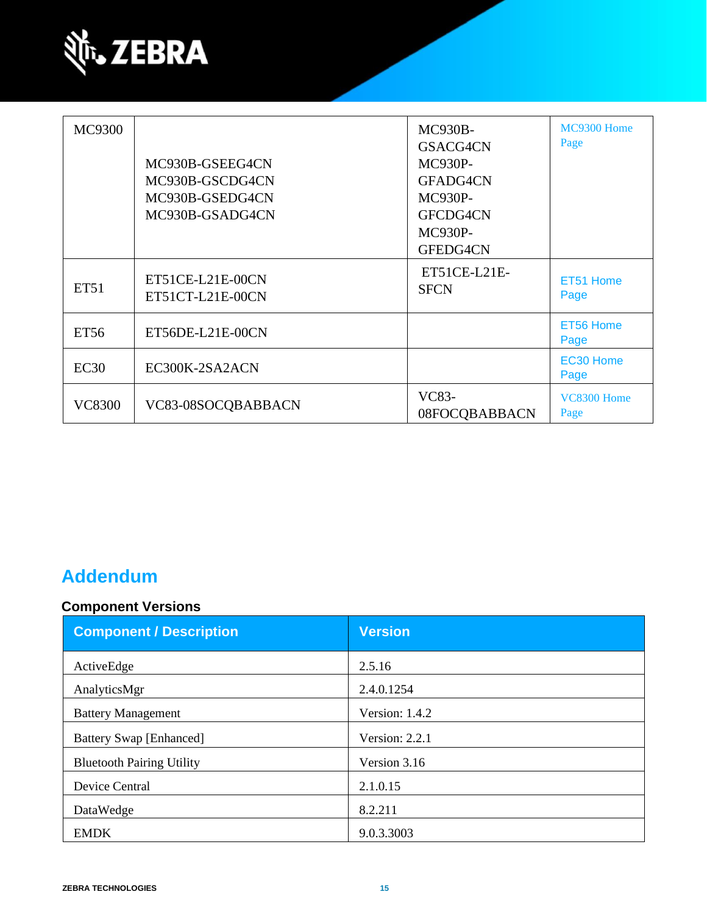

| <b>MC9300</b> | MC930B-GSEEG4CN<br>MC930B-GSCDG4CN<br>MC930B-GSEDG4CN<br>MC930B-GSADG4CN | <b>MC930B-</b><br>GSACG4CN<br><b>MC930P-</b><br>GFADG4CN<br><b>MC930P-</b><br>GFCDG4CN<br><b>MC930P-</b><br>GFEDG4CN | MC9300 Home<br>Page |
|---------------|--------------------------------------------------------------------------|----------------------------------------------------------------------------------------------------------------------|---------------------|
| <b>ET51</b>   | ET51CE-L21E-00CN<br>ET51CT-L21E-00CN                                     | ET51CE-L21E-<br><b>SFCN</b>                                                                                          | ET51 Home<br>Page   |
| <b>ET56</b>   | ET56DE-L21E-00CN                                                         |                                                                                                                      | ET56 Home<br>Page   |
| EC30          | EC300K-2SA2ACN                                                           |                                                                                                                      | EC30 Home<br>Page   |
| <b>VC8300</b> | VC83-08SOCQBABBACN                                                       | VC83-<br>08FOCQBABBACN                                                                                               | VC8300 Home<br>Page |

# **Addendum**

# **Component Versions**

| <b>Component / Description</b>   | <b>Version</b>   |
|----------------------------------|------------------|
| ActiveEdge                       | 2.5.16           |
| AnalyticsMgr                     | 2.4.0.1254       |
| <b>Battery Management</b>        | Version: 1.4.2   |
| <b>Battery Swap [Enhanced]</b>   | Version: $2.2.1$ |
| <b>Bluetooth Pairing Utility</b> | Version 3.16     |
| Device Central                   | 2.1.0.15         |
| DataWedge                        | 8.2.211          |
| <b>EMDK</b>                      | 9.0.3.3003       |